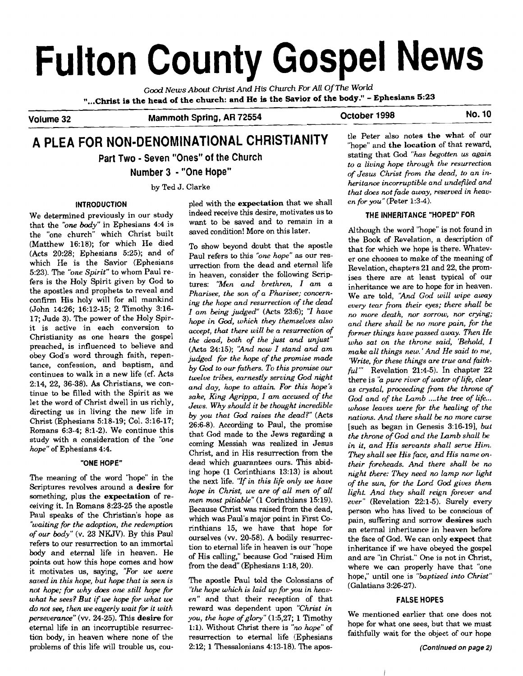# **Fulton County Gospel News**

**Good** *News* **About Christ** *And* **His** *Church* **For All** Of *The* **World "...Christ is the head of the church: and He is the Savior of the body."** - **Ephesians 5:23** 

**Volume 32 Mammoth Spring, AR 72554 October 1998 No. 10** 

## **A PLEA FOR NON-DENOMINATIONAL CHRISTIANITY** *Le Peter also notes the what of our* **Part Two** - **Seven "Ones" of the Church**

**Number 3** - **"One Hope"** 

We determined previously in our study that the **"one** *body"* in Ephesians 4:4 is the "one church" which Christ built (Matthew 16:18); for which He died (Acts 20:28; Ephesians 5:25); and of which He is the Savior (Ephesians 5:23). The *"one Spirit"* to whom Paul refers is the Holy Spirit given by God to the apostles and prophets to reveal and confirm His holy will for all mankind (John i4:26; 16:12-15; 2 Timothy 3:16- 17; Jude 3). The power of the Holy Spirit is active in each conversion to Christianity as one hears the gospel preached, is influenced to believe and obey God's word through faith, repentance, confession, and baptism, and continues to walk in a new life (cf. Acts 2:14, 22, 36-38). As Christians, we continue to be filled with the Spirit as we let the word of Christ dwell in us richly, directing us in living the new life in Christ (Ephesians 5:18-19; Col. 3:16-17; Romans 6:3-4; 8:l-2). We continue this study with a consideration of the *"one hope"* of Ephesians 4:4.

#### **"ONE HOPE"**

The meaning of the word "hope" in the Scriptures revolves around a desire for something, plus the expectation of receiving it. In Romans 8:23-25 the apostle Paul speaks of the Christian's hope as *"waiting for the adoption, the redemption of our body"* (v. 23 NKJV). By this Paul refers to our resurrection to an immortal body and eternal life in heaven. He points out how this hope comes and how it motivates us, saying, *"For we were saved in this hope, but hope that is seen is not hope; for why does one still hope for whut he sees? But if we hope for what we*  **do** *not see, then we eagerly wait for it with persevemnce"* (w. 24-25). This desire for eternal life in an incorruptible resurrection body, in heaven where none of the problems of this life will trouble us, cou-

**INTRODUCTION pled with the expectation that we shall**  $en for you''$  (Peter 1:3-4). indeed receive this desire, motivates us to want to be saved and to remain in a saved condition! More on this later.

> To show beyond doubt that the apostle Paul refers to this *"one hope"* as our resurrection from the dead and eternal life in heaven, consider the following Scriptures: *"Men and brethren, I am a Pharisee, the son of a Pharisee; concern***ing** *the hope and resurrection of the dead I am* being *judged"* (Acts 23:6); "I *have hope in God, which they themselves also accept, that there will be a resurrection of the dead, both of the just and unjust"*  (Acts 24:15); *'2nd now* I *stand and am judged for the hope of the promise made by God to our fathers. To this promise* ow *twelve tribes, earnestly serving God night and day, hope to attain. For this* **hope's**  *sake,* **King** *Agrippa, I am accused of the Jews. Why should it be thought incredible by* **pu** *that God raises the dead?"* (Acts 26:6-8). According to Paul, the promise that God made to the Jews regarding a coming Messiah was realized in Jesus Christ, and in His resurrection from the dead which guarantees ours. This abiding hope (1 Corinthians 13:13) is about the next life. *"If in this life only* **we** *have hope in Christ, we are of all men of all men most pitiable"* (1 Corinthians 15:19). Because Christ was raised from the dead, which was Paul's major point in First Corinthians 15, we have that hope for ourselves (w. 20-58). A bodily resurrection to eternal life in heaven is our "hope of His calling," because God "raised Him from the dead" (Ephesians 1:18,20).

> The apostle Paul told the Colossians of *'the hope which is laid up for you in heaven"* and that their reception of that reward was dependent upon *"Christ in you, the hope of glory"* (1:5,27; 1 Timothy 1:1). Without Christ there is "no hope" of resurrection *to* eternal life (Ephesians 2:12; 1 Thessalonians 4:13-18). The apos-

stating that God *"has begotten us again to a living* **hope** *through the resurrection of Jesus Christ from the dead, to an in*by Ted J. Clarke *heritance incorruptible and undefiled and that does not fade away, reserved in heav-*

#### **THE INHERITANCE "HOPED" FOR**

Although the word "hope" is not found in the Book of Revelation, a description of that for which we hope is there. Whatever one chooses to make of the meaning of Revelation, chapters 21 and 22, the promises there are at least typical of our inheritance we are to hope for in heaven. We are told, *'And* God *will wipe away every tear from their eyes; there shall be no more death, nor sorrow, nor crying; and there shall be no more pain, for the firmer things have passed away. Then He who sat on the throne said, 'Behold, I make all things new. 'And He said to me, 'Write, fir these things are true and faithful"'* Revelation 21:4-5). In chapter 22 there is "a *pure river of water of life, clear as crystal, proceeding from the throne of*  God and of the Lamb ....the tree of life... *whose leaves were for the healing of the nations. And there shall be* no *more curse*  [such as began in Genesis 3:16-191, *but the throne of God and the Lamb shall be in it, and His servants shall serve Him. They shall see His face, and His name ontheir foreheads. And there shall be no night there: They need no lamp nor light of the sun, for the Lord God gives them light. And they shall reign forever and*  ever" (Revelation 22:1-5). Surely every person who has lived to be conscious of pain, suffering and sorrow desires such an eternal inheritance in heaven before the face of God. We can only expect that inheritance if we have obeyed the gospel and are "in Christ." One is not in Christ, where we can properly have that "one hope," until one is *"baptized into Christ"*  (Galatians 3:26-27).

#### **FALSE HOPES**

We mentioned earlier that one does not hope for what one sees, but that we must faithfully wait for the object of our hope

 $\mathcal{L}$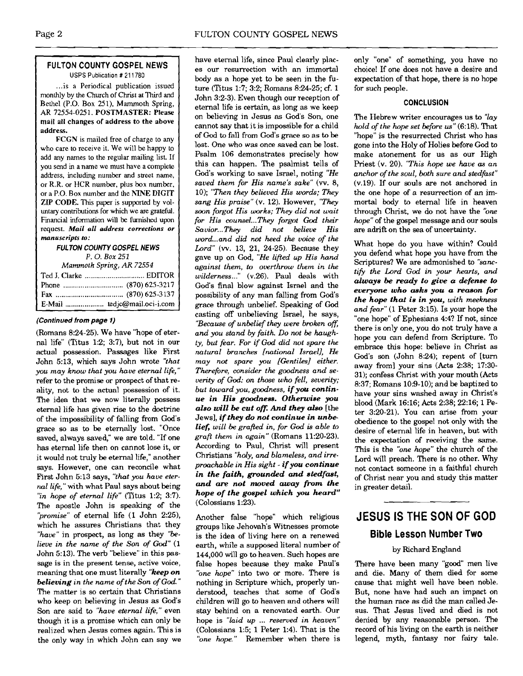#### **FULTON COUNTY GOSPEL NEWS**  USPS Publication # 21 1780

... is a Periodical publication issued monthly by the Church of Christ at Third and Bethel (P.O. Box **251).** Mammoth Spring, AR 72554-025 1. POSTMASTER: Please mail all changes of address to the above address.

FCGN is mailed free of charge to any who care to receive it. We will be happy to add any names to the regular mailing list If you send in a name we must have a complete address, including number and street name, or R.R. or HCR number, plus **box** number, or a P.O. Box number and the **hTh'E** DIGIT ZIP CODE. This paper is supported by voluntary contributions for which we are grateful. Financial information will be furnished upon request. **Mail all address corrections or manuscripts to:** 

#### **FULTON COUNTY GOSPEL NEWS**  *P.* 0. *Box* 251

| Mammoth Spring, AR 72554 |                              |
|--------------------------|------------------------------|
|                          |                              |
|                          |                              |
|                          |                              |
|                          | E-Mail  tedjc@mail.oci-i.com |

#### **(Continued from page 1)**

(Romans 8:24-25). We have "hope of eternal life" (Titus 1:2; 3:7), but not in our actual possession. Passages like First John 5:13, which says John wrote "that *you may know that you hue eternal life,"*  refer to the promise or prospect of that reality, not to the actual possession of it. The idea that we now literally possess eternal life has given rise to the doctrine of the impossibility of falling from God's grace so as to be eternally lost. "Once saved, always saved," we are told. "If one has eternal life then on cannot lose it, or it would not truly be eternal life," another says. However, one can reconcile what First John 5:13 says, *"that you have eternal lifi,"* with what Paul says about being "in hope of eternal life" (Titus 1:2; 3:7). The apostle John is speaking of the *'promise"* of eternal life (1 John 2:25), which he assures Christians that they *"have"* in prospect, as long as they *"believe in the name of the Son of God"* (1 John 5:13). The verb "believe" in this passage is in the present tense, active voice, meaning that one must literally *"keep on believing in the name of the Son of* **God."**  The matter is so certain that Christians who keep on believing in Jesus as God's Son are said to *"have eternal life,"* even though it is a promise which can only be realized when Jesus comes again. This is the only way in which John can say we have eternal life, since Paul clearly places our resurrection with an immortal body as a hope yet to be seen in the future (Titus 1:7; 3:2; Romans 8:24-25; **cf.** 1 John 3:2-3). Even though our reception of eternal life is certain, as long as we keep on believing in Jesus as God's Son, one cannot say that it is impossible for a child of God to fall from God's grace so as to be lost. One who was once saved can be lost. Psalm 106 demonstrates precisely how this can happen. The psalmist tells of God's working to save Israel, noting *"He saved them for His name's sake"* (w. *8,*  10); *"Then they believed His words; They sang His praise"* (v. 12). However, *"They soon forgot His works; They did not wait for His counsel* ... *They forgot God their Savior.* .. *They did not believe His wor d... and did not heed the voice of the Lord" (w.* 13, 21, 24-25). Because they gave up on God, *"He lifted up His hand against them, to overthrow them in the wilderness* ..." (v.26). Paul deals with God's final blow against Israel and the possibility of any man falling from God's grace through unbelief. Speaking of **God**  casting off unbelieving Israel, he says, *"Because of unbelief they were broken* off; *and you stand by faith Do not be haughty, but fear. For if God did not spare the natural branches [national Israel], He may not spare you [Gentiles] either. Therefire, consider the goodness and severity of God: on those who fell, severity; but toward you, goodness, if you continue in His gaodnesa. Otherwise you also will be cut off. And they also* [the Jews], *if they* **do** *not continue in unbelief, will be grafted in, for God* **is** *able to graft them in again"* (Romans 11:20-23). According to Paul, Christ will present Christians *'holy, and blameless, and irreproachable in His sight* - *if you continue*  in the faith, grounded and stedfast, *and are not moved cuuay from the hope of the gospel which you heard"*  (Colossians 1:23).

Another false "hope" which religious groups like Jehovah's Witnesses promote is the idea of living here on a renewed earth, while a supposed literal number of 144,000 will go to heaven. Such hopes are false hopes because they make Paul's *"one* hope" into two or more. There is nothing in Scripture which, properly understood, teaches that some of God's children will go to heaven and others will stay behind on a renovated earth. Our hope is *"laid up* ... *reserved in heaven"*  (Colossians 1:5; 1 Peter 1:4). That is the *"One hope.''* Remember when there is only "one" of something, you have no choice! If one does not have a desire and expectation of that hope, there is no hope for such people.

#### **CONCLUSION**

The Hebrew writer encourages us to *''lay hold of the hope set before* **us"** (6:18). That "hope" is the resurrected Christ who has gone into the Holy of Holies before God to make atonement for us as our High Priest (v. 20). *"This hope we have as an anchor of the soul, both sure and stedfizst"*  (v.19). If our souls are not anchored in the one hope of a resurrection of an immortal body to eternal life in heaven through Christ, we do not have the *"one hope"* of the gospel message and our souls are adrift on the sea of uncertainty.

What hope do you have within? Could you defend what hope you have from the Scriptures? We are admonished to *"sanctifv the Lord* **God** *in your hearts, and always be mady to* **give** *a defense to everyone who aaks you* **a** *reason for the hope thd is in you, with meekness and fear" (1* Peter 3:15). Is your hope the "one hope" of Ephesians 4:4? If not, since there is only one, you do not truly have a hope you can defend from Scripture. To embrace this hope: believe in Christ as God's son (John 8:24); repent of [turn away from] your sins **(Acts** 2:38; 17:30- 31); confess Christ with your mouth (Acts 8:37; Romans 10:9-10); and be baptized to have your sins washed away in Christ's blood (Mark 16:16; Acts 238; 22:16; 1 Peter 3:20-21). You can arise from your obedience to the gospel not only with the desire of eternal life in heaven, but with the expectation of receiving the same. This is the *"one hope"* the church of the Lord will preach. There is no other. Why not contact someone in a faithful church of Christ near you and study this matter in greater detail.

## **JESUS IS THE SON OF GOD Bible Lesson Number Two**

#### by Richard England

There have been many "good" men live and die. Many of them died for some cause that might well have been noble. But, none have had such an impact on the human race as did the man called Jesus. That Jesus lived and died is not denied by any reasonable person. The record of his living on the earth is neither legend, myth, fantasy nor fairy tale.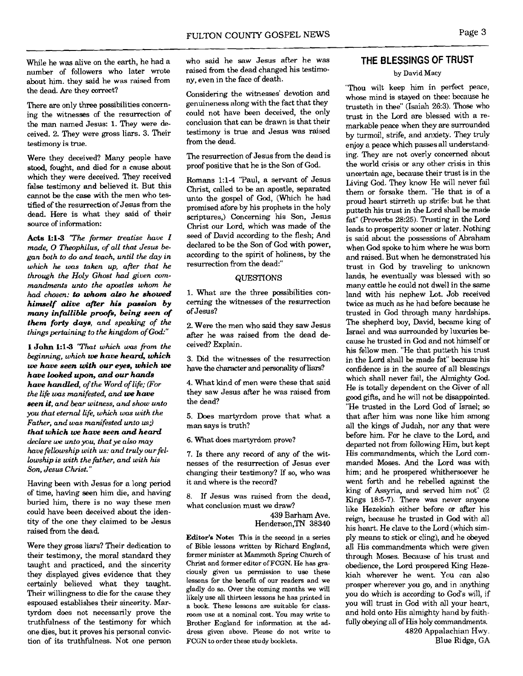There are only three possibilities concerning the witnesses of the resurrection of the man named Jesus: 1. They were deceived. 2. They were gross liars. 3. Their testimony is true.

Were they deceived? Many people have **stood,** fought, and died for a cause about which they were deceived. They received false testimony and believed it. But this cannot be the **case** with the men who testified of the resurrection of Jesus from the dead. Here is what they said of their source of information:

**Acts 1:l-3** *"The firmer treatise have I*  **made, 0** *Theophilw, of all that Jesus began both to do and teach, until the day in which he* **was** *taken up, after that he through the Holy Ghost had given* **com***mandments unto the apostles whom he had chosen:* **to** *whom abo he showed himself alive after his passion by many infallible pmfi, being seen of them forty days, and speaking of the things pertaining to the kingdom of God:"* 

1 John k1-3 *"That which was fiom the beginning, which* **we** *have head which*  **we** *have seen with our eyes, which* **we**  *have looked upon, and our hands have handled, of the Word of life; (For the life was manifested, and we have seen it, and bear witness, and show unto you that eternal life, which was with the Father, and was manifested unto us: that which we have seen and heard declare we unto yo* **y** *that ye also may have fellowship with us: and truly our fellowship is with the father, and with his Son, Jesw Christ."* 

Having been with Jesus for a long period of time, having seen him die, and having buried him, there is no way these men could have been deceived about the identity of the one they claimed to be Jesus raised from the dead.

Were they gross liars? Their dedication to their testimony, the moral standard they taught and practiced, and the sincerity they displayed gives evidence that they certainly believed what they taught. Their willingness to die for the cause they espoused establishes their sincerity. Martyrdom does not necessarily prove the truthfulness of the testimony for which one dies, but it proves his personal conviction of its truthfulness. Not one person

who said he saw Jesus after he was raised from the dead changed his testimony, even in the face of death.

Considering the witnesses' devotion and genuineness along with the fact that they could not have been deceived, the only conclusion that can be drawn is that their testimony is true and Jesus was raised from the dead.

The resurrection of Jesus from the dead is proof positive that he is the Son of God.

Romans **1:l-4** "Paul, a servant of Jesus Christ, called to be an apostle, separated unto the gospel of God, (Which he had promised afore by his prophets in the holy scriptures,) Concerning his Son, Jesus Christ our Lord, which was made of the seed of David according to the flesh; And declared to be the Son of God with power, according to the spirit of holiness, by the resurrection from the dead:"

#### **QUESTIONS**

1. What are the three possibilities concerning the witnesses of the resurrection of Jesus?

2. Were the men who said they saw Jesus after he was raised from the dead deceived? Explain.

3. Did the witnesses of the resurrection have the character and personality of liars?

4. What kind of men were these that said they saw Jesus after he was raised from the dead?

5. Does martyrdom prove that what a man says is truth?

6. What does martyrdom prove?

7. Is there any record of any of the witnesses of the resurrection of Jesus ever changing their testimony? If so, who was it and where is the record?

8. If Jesus was raised from the dead, what conclusion must we draw?

> 439 Barham Ave. Henderson,TN 38340

**Editor's Note:** This is the second in a series of Bible lessons written by Richard England, former minister at Mammoth Spring Church of Christ and former editor ofFCGN. He has graciously given us permission to use these lessons for the benefit of our readers and we gladly do so. Over the coming months we will likely use all thirteen lessons he has printed in a book. These lessons are suitable for classroom use at a nominal cost. You may write to Brother England for information at the address given above. Please do not write to FCGN to order these study booklets.

### **THE BLESSINGS OF TRUST**

#### by David Macy

"Thou wilt keep him in perfect peace, whose mind is stayed on thee: because he trusteth in thee" (Isaiah 26:3). Those who trust in the Lord are blessed with a remarkable peace when they are surrounded by turmoil, strife, and anxiety. They truly enjoy a peace which passes all understanding. They are not overly concerned about the world crisis or anv other crisis in this uncertain age, because their trust is in the Living **God.** They know He will never fail them or forsake them. "He that is of a proud heart stirreth up strife: but he that putteth his trust in the Lord shall be made fat" (Proverbs 28:25). Trusting in the Lord leads to prosperity sooner or later. Nothing is said about the possessions of Abraham when God spoke to him where he was born and raised. But when he demonstrated his trust in God by traveling to unknown lands, he eventually was blessed with so many cattle he could not dwell in the same land with his nephew Lot. Job received twice as much as he had before because he trusted in God through many hardships. The shepherd boy, David, became king of Israel and was surrounded by luxuries because he trusted in God and not himself or his fellow men. "He that putteth his trust in the Lord shall be made fat" because his confidence is in the source of all blessings which shall never fail, the Almighty God. He is totally dependent on the Giver of all good **gifts,** and he will not be disappointed. "He trusted in the Lord God of Israel; so that after him was none like him among all the kings of Judah, nor any that were before him. For he clave to the Lord, and departed not from following Him, but kept His commandments, which the Lord commanded Moses. And the Lord was with him; and he prospered whithersoever he went forth and he rebelled against the king of **Assyria,** and served him not" (2 Kings 18:5-7). There was never anyone like Hezekiah either before or after his reign, because he trusted in God with all his heart. He clave to the Lord (which simply means to stick or cling), and he obeyed all His commandments which were given through Moses. Because of his trust and obedience, the Lord prospered King Hezekiah wherever he went. You can also prosper wherever you go, and in anything you do which is according to God's will, if you will trust in God with all your heart, and hold onto His almighty hand by faithfully obeying all of His holy commandments. 4820 Appalachian Hwy.

Blue Ridge, GA